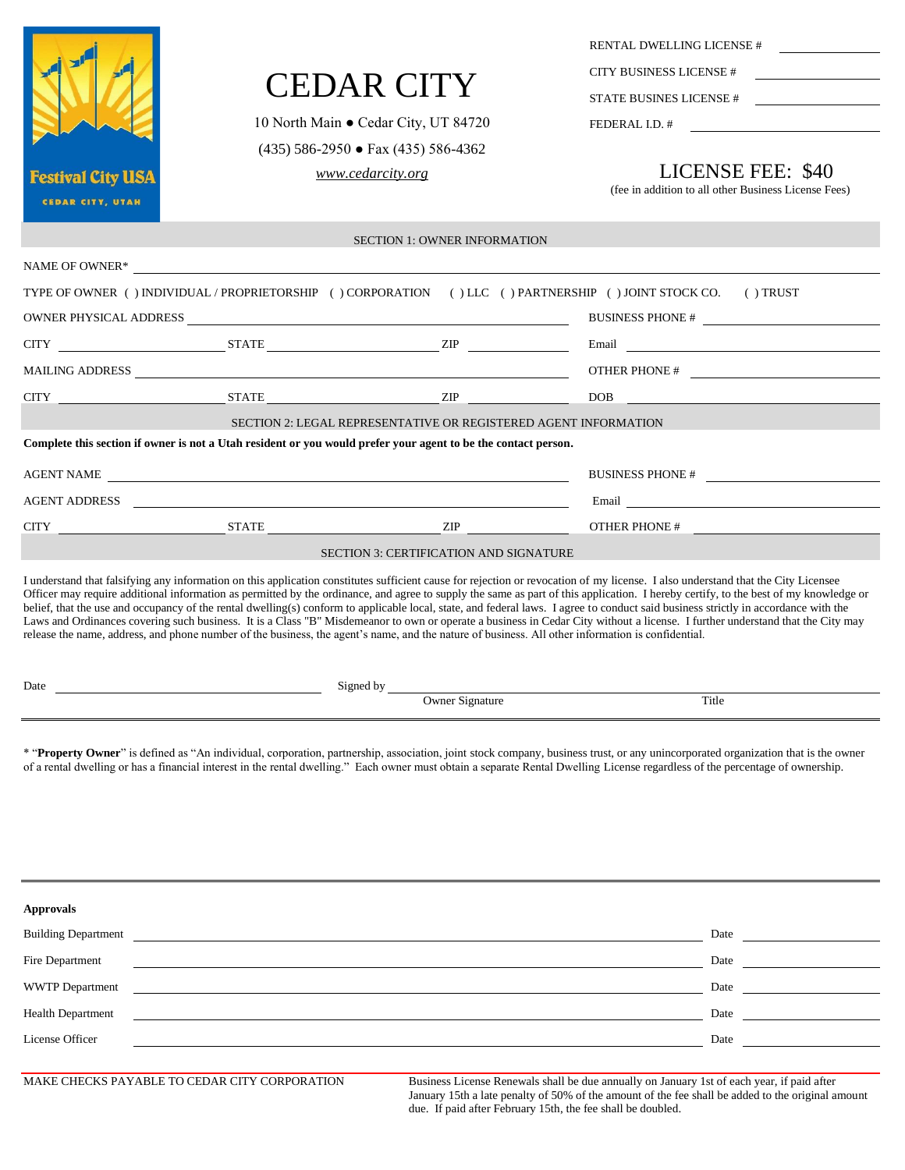|                            |                                                                                                                                                   |                                               | RENTAL DWELLING LICENSE #                                                                                                                                                                                                                                                                                                                                                                                                                                                                                                                                                                                                                                                                                                                          |  |  |
|----------------------------|---------------------------------------------------------------------------------------------------------------------------------------------------|-----------------------------------------------|----------------------------------------------------------------------------------------------------------------------------------------------------------------------------------------------------------------------------------------------------------------------------------------------------------------------------------------------------------------------------------------------------------------------------------------------------------------------------------------------------------------------------------------------------------------------------------------------------------------------------------------------------------------------------------------------------------------------------------------------------|--|--|
|                            |                                                                                                                                                   |                                               | CITY BUSINESS LICENSE #                                                                                                                                                                                                                                                                                                                                                                                                                                                                                                                                                                                                                                                                                                                            |  |  |
|                            | <b>CEDAR CITY</b>                                                                                                                                 |                                               | STATE BUSINES LICENSE #                                                                                                                                                                                                                                                                                                                                                                                                                                                                                                                                                                                                                                                                                                                            |  |  |
|                            | 10 North Main • Cedar City, UT 84720                                                                                                              |                                               | FEDERAL I.D. #<br><u> 1980 - Jan Samuel Barbara, politik eta politik eta politik eta politik eta politik eta politik eta politik e</u>                                                                                                                                                                                                                                                                                                                                                                                                                                                                                                                                                                                                             |  |  |
|                            | $(435)$ 586-2950 • Fax $(435)$ 586-4362                                                                                                           |                                               |                                                                                                                                                                                                                                                                                                                                                                                                                                                                                                                                                                                                                                                                                                                                                    |  |  |
| <b>Festival City USA</b>   | www.cedarcity.org                                                                                                                                 |                                               | LICENSE FEE: \$40                                                                                                                                                                                                                                                                                                                                                                                                                                                                                                                                                                                                                                                                                                                                  |  |  |
| <b>CEDAR CITY, UTAH</b>    |                                                                                                                                                   |                                               | (fee in addition to all other Business License Fees)                                                                                                                                                                                                                                                                                                                                                                                                                                                                                                                                                                                                                                                                                               |  |  |
|                            |                                                                                                                                                   | <b>SECTION 1: OWNER INFORMATION</b>           |                                                                                                                                                                                                                                                                                                                                                                                                                                                                                                                                                                                                                                                                                                                                                    |  |  |
|                            |                                                                                                                                                   |                                               |                                                                                                                                                                                                                                                                                                                                                                                                                                                                                                                                                                                                                                                                                                                                                    |  |  |
|                            |                                                                                                                                                   |                                               | TYPE OF OWNER () INDIVIDUAL / PROPRIETORSHIP () CORPORATION () LLC () PARTNERSHIP () JOINT STOCK CO. () TRUST                                                                                                                                                                                                                                                                                                                                                                                                                                                                                                                                                                                                                                      |  |  |
|                            |                                                                                                                                                   |                                               | BUSINESS PHONE #                                                                                                                                                                                                                                                                                                                                                                                                                                                                                                                                                                                                                                                                                                                                   |  |  |
|                            | $CITY$ $ZIP$                                                                                                                                      |                                               | Email <u>and the contract of the contract of the contract of the contract of the contract of the contract of the contract of the contract of the contract of the contract of the contract of the contract of the contract of the</u>                                                                                                                                                                                                                                                                                                                                                                                                                                                                                                               |  |  |
|                            |                                                                                                                                                   |                                               |                                                                                                                                                                                                                                                                                                                                                                                                                                                                                                                                                                                                                                                                                                                                                    |  |  |
| CITY                       | $STATE$ $ZIP$                                                                                                                                     |                                               | DOB                                                                                                                                                                                                                                                                                                                                                                                                                                                                                                                                                                                                                                                                                                                                                |  |  |
|                            | SECTION 2: LEGAL REPRESENTATIVE OR REGISTERED AGENT INFORMATION                                                                                   |                                               |                                                                                                                                                                                                                                                                                                                                                                                                                                                                                                                                                                                                                                                                                                                                                    |  |  |
|                            | Complete this section if owner is not a Utah resident or you would prefer your agent to be the contact person.                                    |                                               |                                                                                                                                                                                                                                                                                                                                                                                                                                                                                                                                                                                                                                                                                                                                                    |  |  |
|                            |                                                                                                                                                   |                                               | BUSINESS PHONE #                                                                                                                                                                                                                                                                                                                                                                                                                                                                                                                                                                                                                                                                                                                                   |  |  |
|                            |                                                                                                                                                   |                                               |                                                                                                                                                                                                                                                                                                                                                                                                                                                                                                                                                                                                                                                                                                                                                    |  |  |
| <b>CITY</b>                | $STATE$ $ZIP$                                                                                                                                     |                                               | OTHER PHONE #                                                                                                                                                                                                                                                                                                                                                                                                                                                                                                                                                                                                                                                                                                                                      |  |  |
|                            |                                                                                                                                                   | <b>SECTION 3: CERTIFICATION AND SIGNATURE</b> |                                                                                                                                                                                                                                                                                                                                                                                                                                                                                                                                                                                                                                                                                                                                                    |  |  |
|                            | release the name, address, and phone number of the business, the agent's name, and the nature of business. All other information is confidential. |                                               | I understand that falsifying any information on this application constitutes sufficient cause for rejection or revocation of my license. I also understand that the City Licensee<br>Officer may require additional information as permitted by the ordinance, and agree to supply the same as part of this application. I hereby certify, to the best of my knowledge or<br>belief, that the use and occupancy of the rental dwelling(s) conform to applicable local, state, and federal laws. I agree to conduct said business strictly in accordance with the<br>Laws and Ordinances covering such business. It is a Class "B" Misdemeanor to own or operate a business in Cedar City without a license. I further understand that the City may |  |  |
| Date                       | Signed by                                                                                                                                         |                                               |                                                                                                                                                                                                                                                                                                                                                                                                                                                                                                                                                                                                                                                                                                                                                    |  |  |
|                            |                                                                                                                                                   | <b>Owner Signature</b>                        | Title                                                                                                                                                                                                                                                                                                                                                                                                                                                                                                                                                                                                                                                                                                                                              |  |  |
|                            |                                                                                                                                                   |                                               | * "Property Owner" is defined as "An individual, corporation, partnership, association, joint stock company, business trust, or any unincorporated organization that is the owner<br>of a rental dwelling or has a financial interest in the rental dwelling." Each owner must obtain a separate Rental Dwelling License regardless of the percentage of ownership.                                                                                                                                                                                                                                                                                                                                                                                |  |  |
| <b>Approvals</b>           |                                                                                                                                                   |                                               |                                                                                                                                                                                                                                                                                                                                                                                                                                                                                                                                                                                                                                                                                                                                                    |  |  |
| <b>Building Department</b> |                                                                                                                                                   |                                               | Date                                                                                                                                                                                                                                                                                                                                                                                                                                                                                                                                                                                                                                                                                                                                               |  |  |
| Fire Department            |                                                                                                                                                   |                                               | Date                                                                                                                                                                                                                                                                                                                                                                                                                                                                                                                                                                                                                                                                                                                                               |  |  |
| <b>WWTP</b> Department     |                                                                                                                                                   |                                               | Date                                                                                                                                                                                                                                                                                                                                                                                                                                                                                                                                                                                                                                                                                                                                               |  |  |
| <b>Health Department</b>   |                                                                                                                                                   |                                               | Date<br><u>and the state of the state of the state of the state of the state of the state of the state of the state of the state of the state of the state of the state of the state of the state of the state of the state of the state</u>                                                                                                                                                                                                                                                                                                                                                                                                                                                                                                       |  |  |
| License Officer            |                                                                                                                                                   |                                               | Date                                                                                                                                                                                                                                                                                                                                                                                                                                                                                                                                                                                                                                                                                                                                               |  |  |

MAKE CHECKS PAYABLE TO CEDAR CITY CORPORATION Business License Renewals shall be due annually on January 1st of each year, if paid after January 15th a late penalty of 50% of the amount of the fee shall be added to the original amount due. If paid after February 15th, the fee shall be doubled.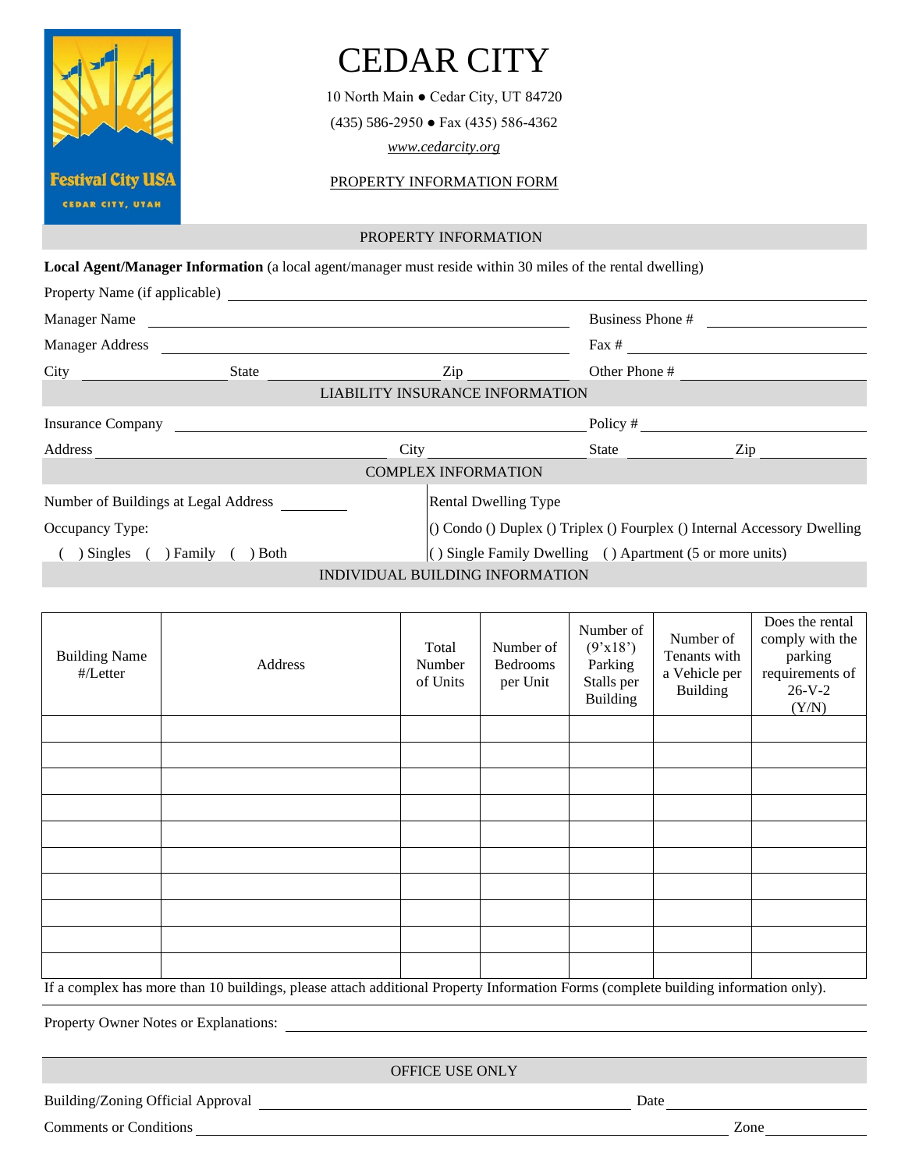

## CEDAR CITY

10 North Main ● Cedar City, UT 84720 (435) 586-2950 ● Fax (435) 586-4362

*[www.cedarcity.org](http://www.cedarcity.org/)*

PROPERTY INFORMATION FORM

## PROPERTY INFORMATION

**Local Agent/Manager Information** (a local agent/manager must reside within 30 miles of the rental dwelling)

| Property Name (if applicable)            |       |                      |                                                                      |                  |     |  |  |
|------------------------------------------|-------|----------------------|----------------------------------------------------------------------|------------------|-----|--|--|
| Manager Name<br><b>Manager Address</b>   |       |                      |                                                                      | Business Phone # |     |  |  |
|                                          |       |                      |                                                                      | Fax #            |     |  |  |
| City                                     | State | Other Phone #<br>Zip |                                                                      |                  |     |  |  |
|                                          |       |                      | LIABILITY INSURANCE INFORMATION                                      |                  |     |  |  |
| <b>Insurance Company</b>                 |       |                      |                                                                      | Policy #         |     |  |  |
| Address                                  |       | City                 |                                                                      | State            | Zip |  |  |
|                                          |       |                      | <b>COMPLEX INFORMATION</b>                                           |                  |     |  |  |
| Number of Buildings at Legal Address     |       |                      | <b>Rental Dwelling Type</b>                                          |                  |     |  |  |
| Occupancy Type:                          |       |                      | (O Condo O Duplex O Triplex O Fourplex O Internal Accessory Dwelling |                  |     |  |  |
| Singles (<br>) Family<br>$\partial$ Both |       |                      | $\vert$ () Single Family Dwelling () Apartment (5 or more units)     |                  |     |  |  |
|                                          |       |                      | INDIVIDUAL BUILDING INFORMATION                                      |                  |     |  |  |

| <b>Building Name</b><br>$\frac{H}{L}$ etter                                                                                        | Address | Total<br>Number<br>of Units | Number of<br><b>Bedrooms</b><br>per Unit | Number of<br>(9'x18')<br>Parking<br>Stalls per<br><b>Building</b> | Number of<br>Tenants with<br>a Vehicle per<br><b>Building</b> | Does the rental<br>comply with the<br>parking<br>requirements of<br>$26-V-2$<br>(Y/N) |  |  |
|------------------------------------------------------------------------------------------------------------------------------------|---------|-----------------------------|------------------------------------------|-------------------------------------------------------------------|---------------------------------------------------------------|---------------------------------------------------------------------------------------|--|--|
|                                                                                                                                    |         |                             |                                          |                                                                   |                                                               |                                                                                       |  |  |
|                                                                                                                                    |         |                             |                                          |                                                                   |                                                               |                                                                                       |  |  |
|                                                                                                                                    |         |                             |                                          |                                                                   |                                                               |                                                                                       |  |  |
|                                                                                                                                    |         |                             |                                          |                                                                   |                                                               |                                                                                       |  |  |
|                                                                                                                                    |         |                             |                                          |                                                                   |                                                               |                                                                                       |  |  |
|                                                                                                                                    |         |                             |                                          |                                                                   |                                                               |                                                                                       |  |  |
|                                                                                                                                    |         |                             |                                          |                                                                   |                                                               |                                                                                       |  |  |
|                                                                                                                                    |         |                             |                                          |                                                                   |                                                               |                                                                                       |  |  |
|                                                                                                                                    |         |                             |                                          |                                                                   |                                                               |                                                                                       |  |  |
|                                                                                                                                    |         |                             |                                          |                                                                   |                                                               |                                                                                       |  |  |
| If a complex has more than 10 buildings, please attach additional Property Information Forms (complete building information only). |         |                             |                                          |                                                                   |                                                               |                                                                                       |  |  |

Property Owner Notes or Explanations:

OFFICE USE ONLY

Building/Zoning Official Approval Date

Comments or Conditions Zone